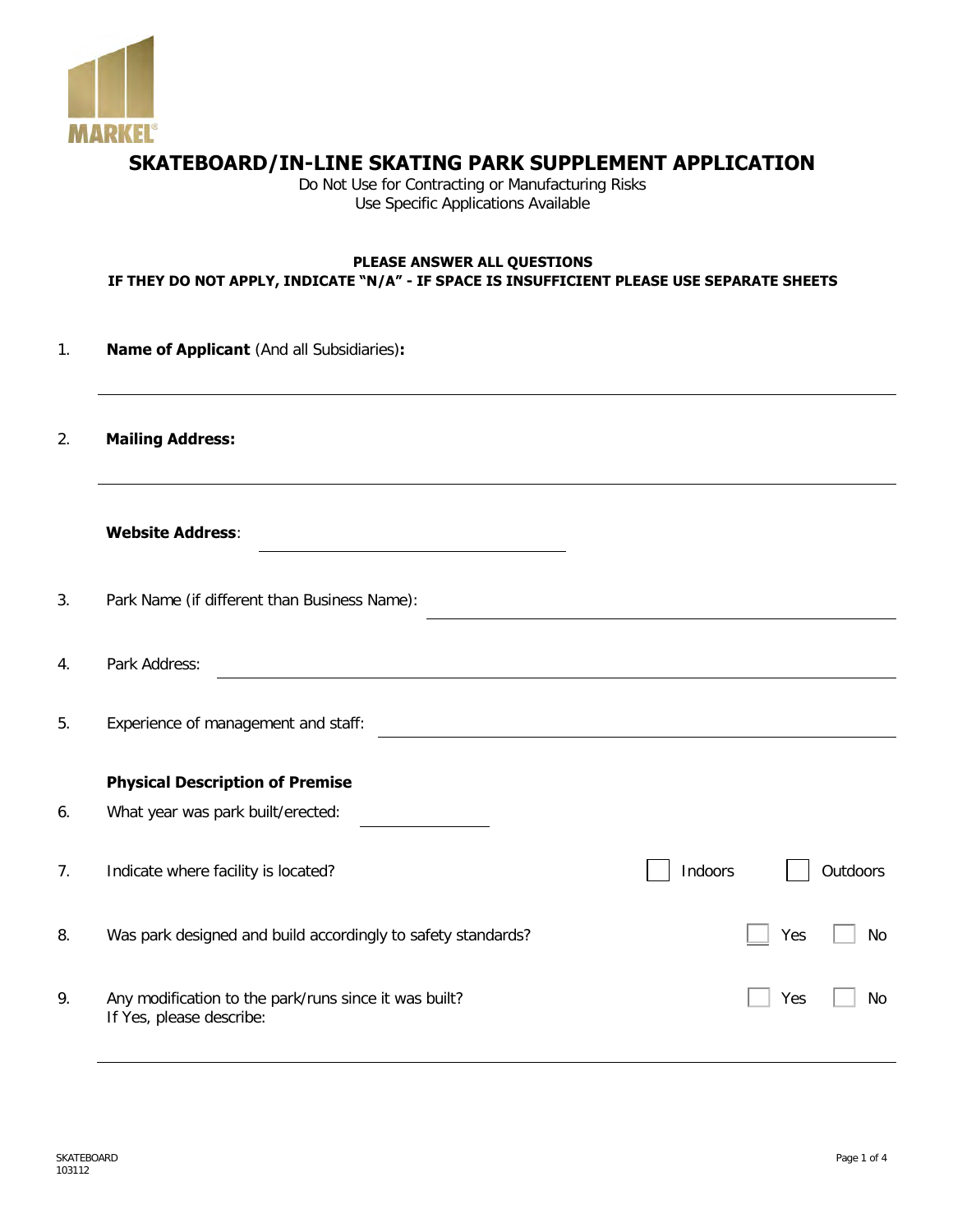

## **SKATEBOARD/IN-LINE SKATING PARK SUPPLEMENT APPLICATION**

Do Not Use for Contracting or Manufacturing Risks Use Specific Applications Available

## **PLEASE ANSWER ALL QUESTIONS IF THEY DO NOT APPLY, INDICATE "N/A" - IF SPACE IS INSUFFICIENT PLEASE USE SEPARATE SHEETS**

1. **Name of Applicant** (And all Subsidiaries)**:**

2. **Mailing Address:**

- 3. Park Name (if different than Business Name):
- 4. Park Address:

5. Experience of management and staff:

## **Physical Description of Premise**

| 6. | What year was park built/erected:                                                 |         |     |           |
|----|-----------------------------------------------------------------------------------|---------|-----|-----------|
| 7. | Indicate where facility is located?                                               | Indoors |     | Outdoors  |
| 8. | Was park designed and build accordingly to safety standards?                      |         | Yes | No        |
| 9. | Any modification to the park/runs since it was built?<br>If Yes, please describe: |         | Yes | <b>No</b> |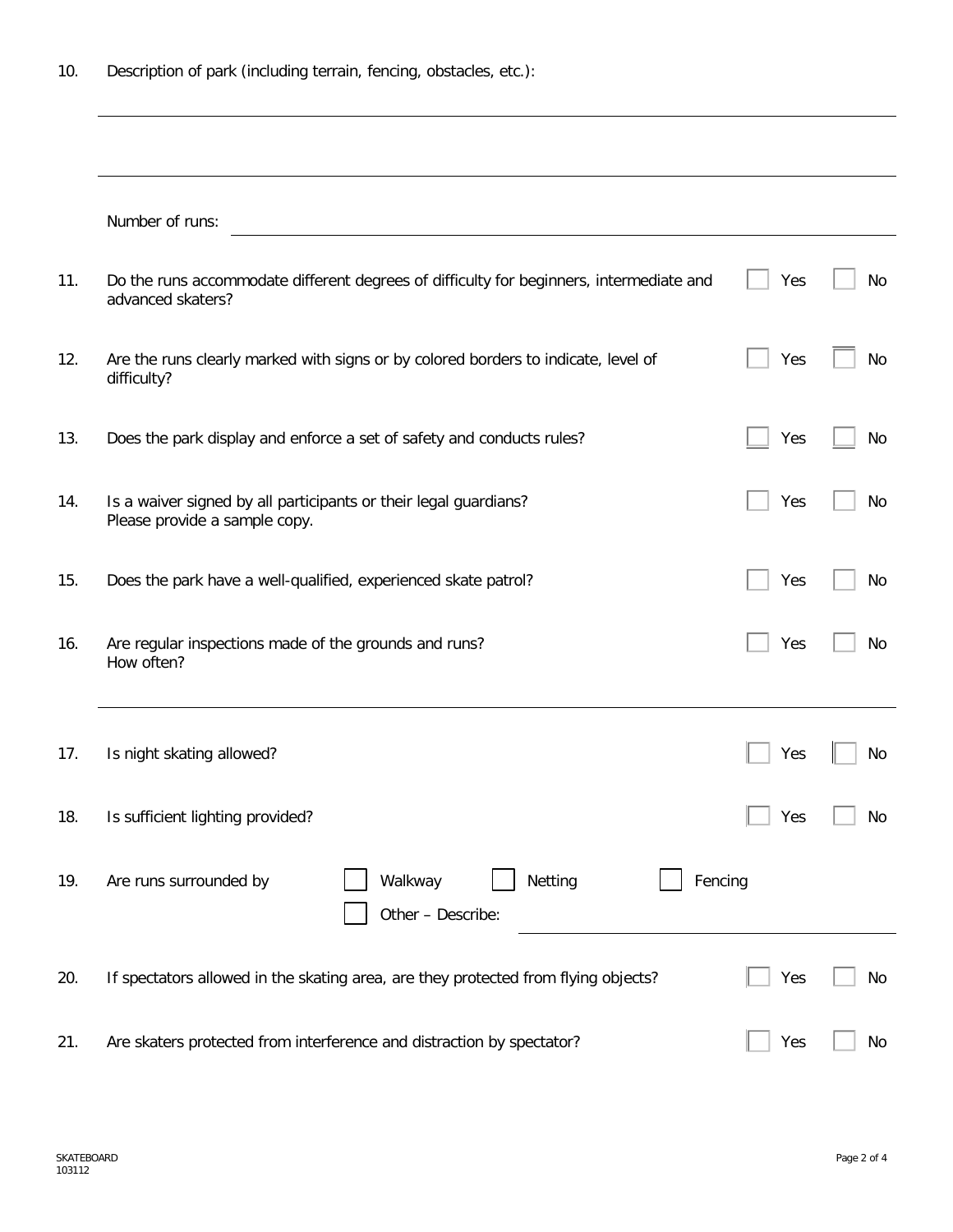|     | Number of runs:                                                                                              |            |    |
|-----|--------------------------------------------------------------------------------------------------------------|------------|----|
| 11. | Do the runs accommodate different degrees of difficulty for beginners, intermediate and<br>advanced skaters? | Yes        | No |
| 12. | Are the runs clearly marked with signs or by colored borders to indicate, level of<br>difficulty?            | Yes        | No |
| 13. | Does the park display and enforce a set of safety and conducts rules?                                        | Yes        | No |
| 14. | Is a waiver signed by all participants or their legal guardians?<br>Please provide a sample copy.            | Yes        | No |
| 15. | Does the park have a well-qualified, experienced skate patrol?                                               | Yes        | No |
| 16. | Are regular inspections made of the grounds and runs?<br>How often?                                          | Yes        | No |
| 17. | Is night skating allowed?                                                                                    | Yes        | No |
| 18. | Is sufficient lighting provided?                                                                             | $\Box$ Yes | No |
| 19. | Walkway<br>Netting<br>Fencing<br>Are runs surrounded by<br>Other - Describe:                                 |            |    |
| 20. | If spectators allowed in the skating area, are they protected from flying objects?                           | Yes        | No |
| 21. | Are skaters protected from interference and distraction by spectator?                                        | Yes        | No |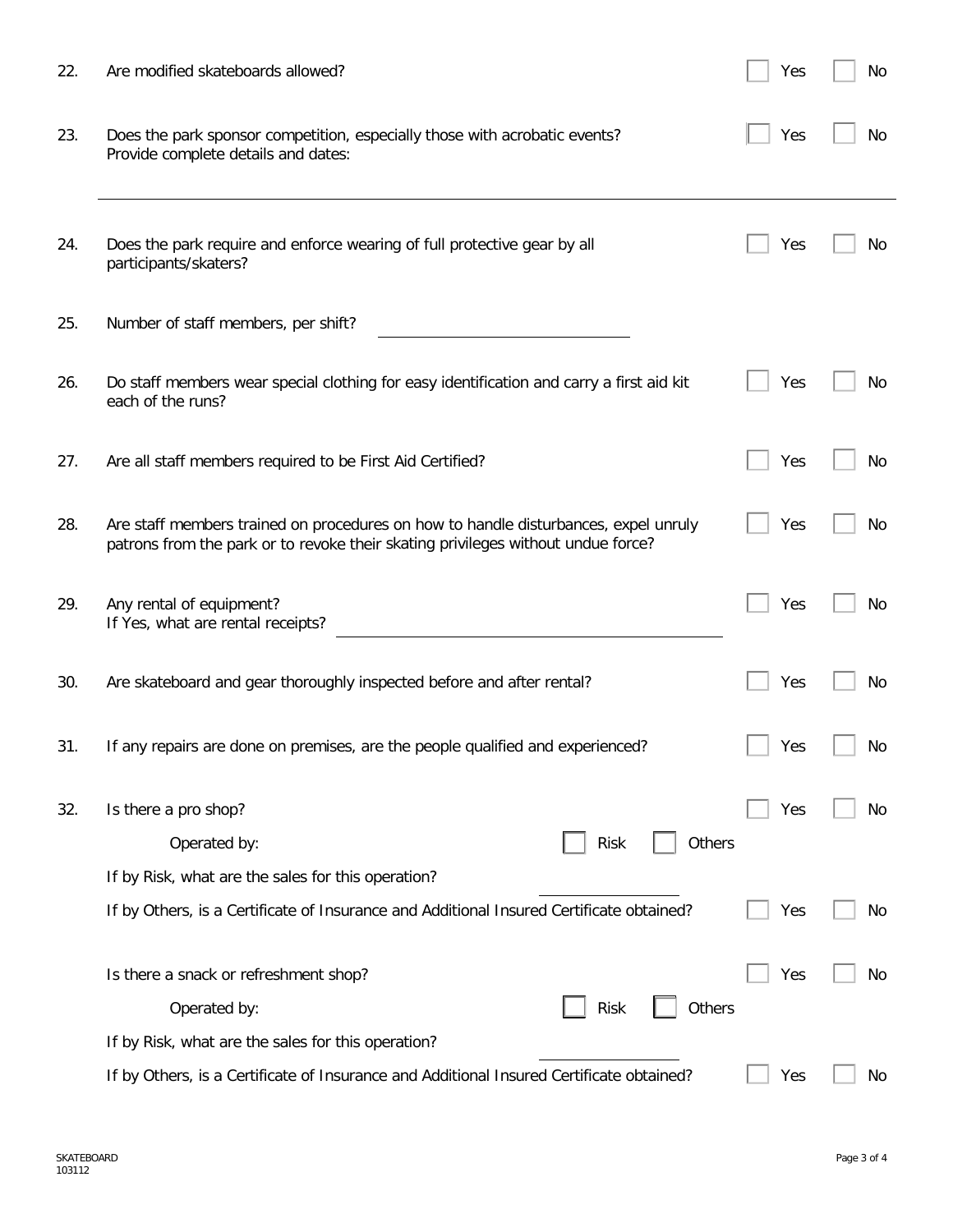| 22. | Are modified skateboards allowed?                                                                                                                                       | Yes | No  |
|-----|-------------------------------------------------------------------------------------------------------------------------------------------------------------------------|-----|-----|
| 23. | Does the park sponsor competition, especially those with acrobatic events?<br>Provide complete details and dates:                                                       | Yes | No  |
| 24. | Does the park require and enforce wearing of full protective gear by all<br>participants/skaters?                                                                       | Yes | No  |
| 25. | Number of staff members, per shift?                                                                                                                                     |     |     |
| 26. | Do staff members wear special clothing for easy identification and carry a first aid kit<br>each of the runs?                                                           | Yes | Νo  |
| 27. | Are all staff members required to be First Aid Certified?                                                                                                               | Yes | No  |
| 28. | Are staff members trained on procedures on how to handle disturbances, expel unruly<br>patrons from the park or to revoke their skating privileges without undue force? | Yes | No. |
| 29. | Any rental of equipment?<br>If Yes, what are rental receipts?                                                                                                           | Yes | No. |
| 30. | Are skateboard and gear thoroughly inspected before and after rental?                                                                                                   | Yes | No  |
| 31. | If any repairs are done on premises, are the people qualified and experienced?                                                                                          | Yes | No  |
| 32. | Is there a pro shop?<br>Operated by:<br>Others<br><b>Risk</b><br>If by Risk, what are the sales for this operation?                                                     | Yes | No  |
|     | If by Others, is a Certificate of Insurance and Additional Insured Certificate obtained?                                                                                | Yes | No  |
|     | Is there a snack or refreshment shop?<br>Others<br>Operated by:<br><b>Risk</b>                                                                                          | Yes | No  |
|     | If by Risk, what are the sales for this operation?                                                                                                                      |     |     |
|     | If by Others, is a Certificate of Insurance and Additional Insured Certificate obtained?                                                                                | Yes | No  |